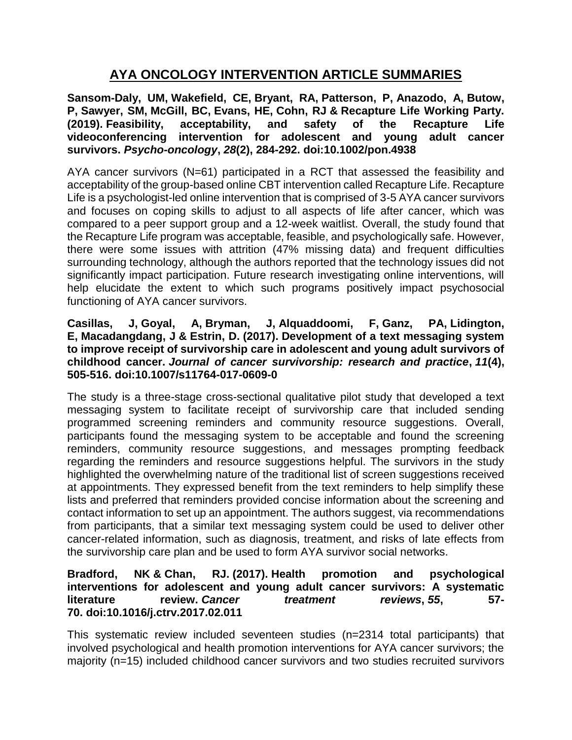# **AYA ONCOLOGY INTERVENTION ARTICLE SUMMARIES**

**Sansom-Daly, UM, Wakefield, CE, Bryant, RA, Patterson, P, Anazodo, A, Butow, P, Sawyer, SM, McGill, BC, Evans, HE, Cohn, RJ & Recapture Life Working Party. (2019). Feasibility, acceptability, and safety of the Recapture Life videoconferencing intervention for adolescent and young adult cancer survivors.** *Psycho-oncology***,** *28***(2), 284-292. doi:10.1002/pon.4938**

AYA cancer survivors (N=61) participated in a RCT that assessed the feasibility and acceptability of the group-based online CBT intervention called Recapture Life. Recapture Life is a psychologist-led online intervention that is comprised of 3-5 AYA cancer survivors and focuses on coping skills to adjust to all aspects of life after cancer, which was compared to a peer support group and a 12-week waitlist. Overall, the study found that the Recapture Life program was acceptable, feasible, and psychologically safe. However, there were some issues with attrition (47% missing data) and frequent difficulties surrounding technology, although the authors reported that the technology issues did not significantly impact participation. Future research investigating online interventions, will help elucidate the extent to which such programs positively impact psychosocial functioning of AYA cancer survivors.

### **Casillas, J, Goyal, A, Bryman, J, Alquaddoomi, F, Ganz, PA, Lidington, E, Macadangdang, J & Estrin, D. (2017). Development of a text messaging system to improve receipt of survivorship care in adolescent and young adult survivors of childhood cancer.** *Journal of cancer survivorship: research and practice***,** *11***(4), 505-516. doi:10.1007/s11764-017-0609-0**

The study is a three-stage cross-sectional qualitative pilot study that developed a text messaging system to facilitate receipt of survivorship care that included sending programmed screening reminders and community resource suggestions. Overall, participants found the messaging system to be acceptable and found the screening reminders, community resource suggestions, and messages prompting feedback regarding the reminders and resource suggestions helpful. The survivors in the study highlighted the overwhelming nature of the traditional list of screen suggestions received at appointments. They expressed benefit from the text reminders to help simplify these lists and preferred that reminders provided concise information about the screening and contact information to set up an appointment. The authors suggest, via recommendations from participants, that a similar text messaging system could be used to deliver other cancer-related information, such as diagnosis, treatment, and risks of late effects from the survivorship care plan and be used to form AYA survivor social networks.

## **Bradford, NK & Chan, RJ. (2017). Health promotion and psychological interventions for adolescent and young adult cancer survivors: A systematic literature review.** *Cancer treatment reviews***,** *55***, 57- 70. doi:10.1016/j.ctrv.2017.02.011**

This systematic review included seventeen studies (n=2314 total participants) that involved psychological and health promotion interventions for AYA cancer survivors; the majority (n=15) included childhood cancer survivors and two studies recruited survivors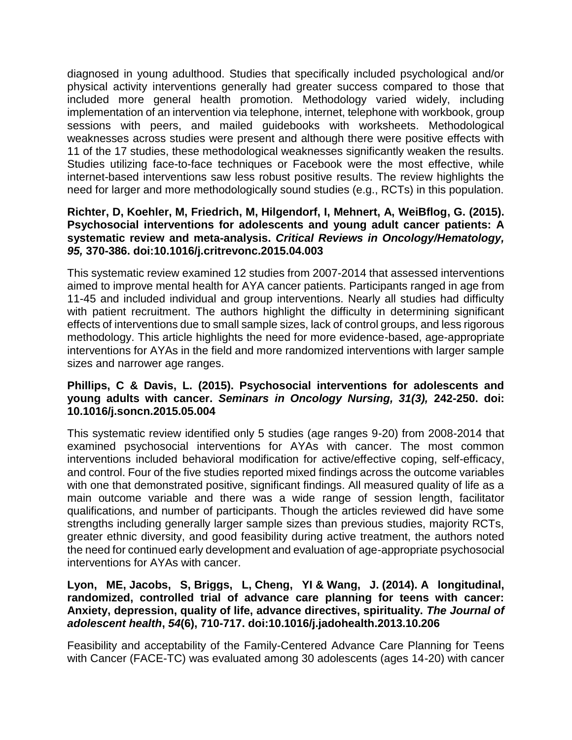diagnosed in young adulthood. Studies that specifically included psychological and/or physical activity interventions generally had greater success compared to those that included more general health promotion. Methodology varied widely, including implementation of an intervention via telephone, internet, telephone with workbook, group sessions with peers, and mailed guidebooks with worksheets. Methodological weaknesses across studies were present and although there were positive effects with 11 of the 17 studies, these methodological weaknesses significantly weaken the results. Studies utilizing face-to-face techniques or Facebook were the most effective, while internet-based interventions saw less robust positive results. The review highlights the need for larger and more methodologically sound studies (e.g., RCTs) in this population.

## **Richter, D, Koehler, M, Friedrich, M, Hilgendorf, I, Mehnert, A, WeiBflog, G. (2015). Psychosocial interventions for adolescents and young adult cancer patients: A systematic review and meta-analysis.** *Critical Reviews in Oncology/Hematology, 95,* **370-386. doi:10.1016/j.critrevonc.2015.04.003**

This systematic review examined 12 studies from 2007-2014 that assessed interventions aimed to improve mental health for AYA cancer patients. Participants ranged in age from 11-45 and included individual and group interventions. Nearly all studies had difficulty with patient recruitment. The authors highlight the difficulty in determining significant effects of interventions due to small sample sizes, lack of control groups, and less rigorous methodology. This article highlights the need for more evidence-based, age-appropriate interventions for AYAs in the field and more randomized interventions with larger sample sizes and narrower age ranges.

## **Phillips, C & Davis, L. (2015). Psychosocial interventions for adolescents and young adults with cancer.** *Seminars in Oncology Nursing, 31(3),* **242-250. doi: 10.1016/j.soncn.2015.05.004**

This systematic review identified only 5 studies (age ranges 9-20) from 2008-2014 that examined psychosocial interventions for AYAs with cancer. The most common interventions included behavioral modification for active/effective coping, self-efficacy, and control. Four of the five studies reported mixed findings across the outcome variables with one that demonstrated positive, significant findings. All measured quality of life as a main outcome variable and there was a wide range of session length, facilitator qualifications, and number of participants. Though the articles reviewed did have some strengths including generally larger sample sizes than previous studies, majority RCTs, greater ethnic diversity, and good feasibility during active treatment, the authors noted the need for continued early development and evaluation of age-appropriate psychosocial interventions for AYAs with cancer.

## **Lyon, ME, Jacobs, S, Briggs, L, Cheng, YI & Wang, J. (2014). A longitudinal, randomized, controlled trial of advance care planning for teens with cancer: Anxiety, depression, quality of life, advance directives, spirituality.** *The Journal of adolescent health***,** *54***(6), 710-717. doi:10.1016/j.jadohealth.2013.10.206**

Feasibility and acceptability of the Family-Centered Advance Care Planning for Teens with Cancer (FACE-TC) was evaluated among 30 adolescents (ages 14-20) with cancer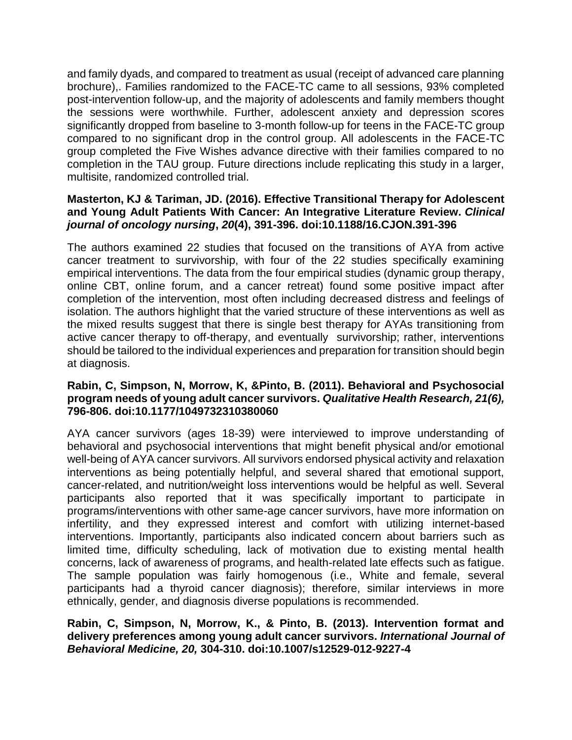and family dyads, and compared to treatment as usual (receipt of advanced care planning brochure),. Families randomized to the FACE-TC came to all sessions, 93% completed post-intervention follow-up, and the majority of adolescents and family members thought the sessions were worthwhile. Further, adolescent anxiety and depression scores significantly dropped from baseline to 3-month follow-up for teens in the FACE-TC group compared to no significant drop in the control group. All adolescents in the FACE-TC group completed the Five Wishes advance directive with their families compared to no completion in the TAU group. Future directions include replicating this study in a larger, multisite, randomized controlled trial.

## **Masterton, KJ & Tariman, JD. (2016). Effective Transitional Therapy for Adolescent and Young Adult Patients With Cancer: An Integrative Literature Review.** *Clinical journal of oncology nursing***,** *20***(4), 391-396. doi:10.1188/16.CJON.391-396**

The authors examined 22 studies that focused on the transitions of AYA from active cancer treatment to survivorship, with four of the 22 studies specifically examining empirical interventions. The data from the four empirical studies (dynamic group therapy, online CBT, online forum, and a cancer retreat) found some positive impact after completion of the intervention, most often including decreased distress and feelings of isolation. The authors highlight that the varied structure of these interventions as well as the mixed results suggest that there is single best therapy for AYAs transitioning from active cancer therapy to off-therapy, and eventually survivorship; rather, interventions should be tailored to the individual experiences and preparation for transition should begin at diagnosis.

### **Rabin, C, Simpson, N, Morrow, K, &Pinto, B. (2011). Behavioral and Psychosocial program needs of young adult cancer survivors.** *Qualitative Health Research, 21(6),*  **796-806. doi:10.1177/1049732310380060**

AYA cancer survivors (ages 18-39) were interviewed to improve understanding of behavioral and psychosocial interventions that might benefit physical and/or emotional well-being of AYA cancer survivors. All survivors endorsed physical activity and relaxation interventions as being potentially helpful, and several shared that emotional support, cancer-related, and nutrition/weight loss interventions would be helpful as well. Several participants also reported that it was specifically important to participate in programs/interventions with other same-age cancer survivors, have more information on infertility, and they expressed interest and comfort with utilizing internet-based interventions. Importantly, participants also indicated concern about barriers such as limited time, difficulty scheduling, lack of motivation due to existing mental health concerns, lack of awareness of programs, and health-related late effects such as fatigue. The sample population was fairly homogenous (i.e., White and female, several participants had a thyroid cancer diagnosis); therefore, similar interviews in more ethnically, gender, and diagnosis diverse populations is recommended.

## **Rabin, C, Simpson, N, Morrow, K., & Pinto, B. (2013). Intervention format and delivery preferences among young adult cancer survivors.** *International Journal of Behavioral Medicine, 20,* **304-310. doi:10.1007/s12529-012-9227-4**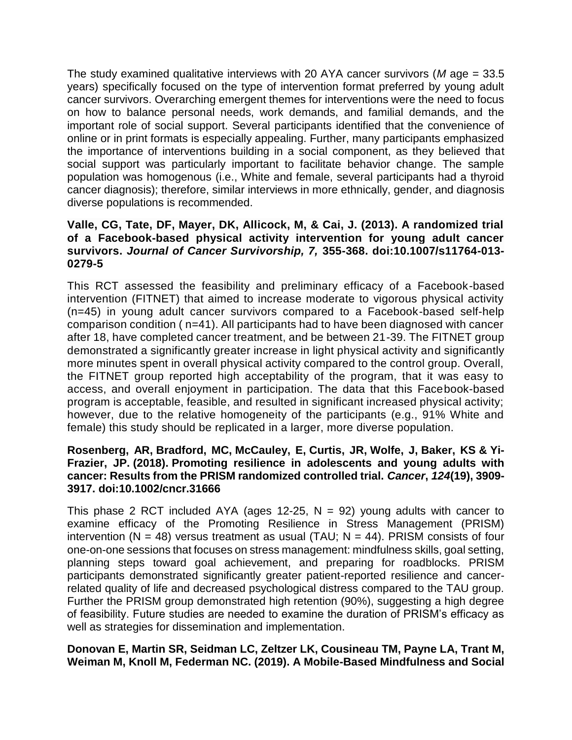The study examined qualitative interviews with 20 AYA cancer survivors (*M* age = 33.5 years) specifically focused on the type of intervention format preferred by young adult cancer survivors. Overarching emergent themes for interventions were the need to focus on how to balance personal needs, work demands, and familial demands, and the important role of social support. Several participants identified that the convenience of online or in print formats is especially appealing. Further, many participants emphasized the importance of interventions building in a social component, as they believed that social support was particularly important to facilitate behavior change. The sample population was homogenous (i.e., White and female, several participants had a thyroid cancer diagnosis); therefore, similar interviews in more ethnically, gender, and diagnosis diverse populations is recommended.

## **Valle, CG, Tate, DF, Mayer, DK, Allicock, M, & Cai, J. (2013). A randomized trial of a Facebook-based physical activity intervention for young adult cancer survivors.** *Journal of Cancer Survivorship, 7,* **355-368. doi:10.1007/s11764-013- 0279-5**

This RCT assessed the feasibility and preliminary efficacy of a Facebook-based intervention (FITNET) that aimed to increase moderate to vigorous physical activity (n=45) in young adult cancer survivors compared to a Facebook-based self-help comparison condition ( n=41). All participants had to have been diagnosed with cancer after 18, have completed cancer treatment, and be between 21-39. The FITNET group demonstrated a significantly greater increase in light physical activity and significantly more minutes spent in overall physical activity compared to the control group. Overall, the FITNET group reported high acceptability of the program, that it was easy to access, and overall enjoyment in participation. The data that this Facebook-based program is acceptable, feasible, and resulted in significant increased physical activity; however, due to the relative homogeneity of the participants (e.g., 91% White and female) this study should be replicated in a larger, more diverse population.

## **Rosenberg, AR, Bradford, MC, McCauley, E, Curtis, JR, Wolfe, J, Baker, KS & Yi-Frazier, JP. (2018). Promoting resilience in adolescents and young adults with cancer: Results from the PRISM randomized controlled trial.** *Cancer***,** *124***(19), 3909- 3917. doi:10.1002/cncr.31666**

This phase 2 RCT included AYA (ages 12-25,  $N = 92$ ) young adults with cancer to examine efficacy of the Promoting Resilience in Stress Management (PRISM) intervention ( $N = 48$ ) versus treatment as usual (TAU;  $N = 44$ ). PRISM consists of four one-on-one sessions that focuses on stress management: mindfulness skills, goal setting, planning steps toward goal achievement, and preparing for roadblocks. PRISM participants demonstrated significantly greater patient-reported resilience and cancerrelated quality of life and decreased psychological distress compared to the TAU group. Further the PRISM group demonstrated high retention (90%), suggesting a high degree of feasibility. Future studies are needed to examine the duration of PRISM's efficacy as well as strategies for dissemination and implementation.

## **Donovan E, Martin SR, Seidman LC, Zeltzer LK, Cousineau TM, Payne LA, Trant M, Weiman M, Knoll M, Federman NC. (2019). A Mobile-Based Mindfulness and Social**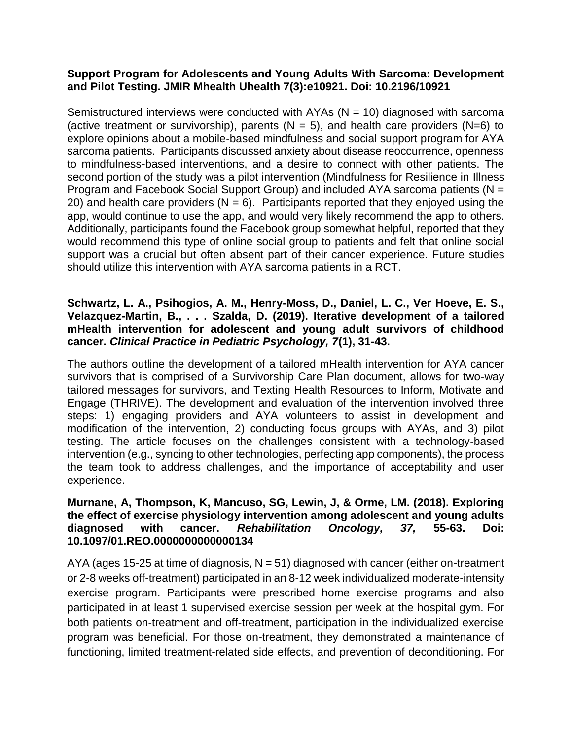### **Support Program for Adolescents and Young Adults With Sarcoma: Development and Pilot Testing. JMIR Mhealth Uhealth 7(3):e10921. Doi: 10.2196/10921**

Semistructured interviews were conducted with AYAs ( $N = 10$ ) diagnosed with sarcoma (active treatment or survivorship), parents ( $N = 5$ ), and health care providers ( $N=6$ ) to explore opinions about a mobile-based mindfulness and social support program for AYA sarcoma patients. Participants discussed anxiety about disease reoccurrence, openness to mindfulness-based interventions, and a desire to connect with other patients. The second portion of the study was a pilot intervention (Mindfulness for Resilience in Illness Program and Facebook Social Support Group) and included AYA sarcoma patients (N = 20) and health care providers ( $N = 6$ ). Participants reported that they enjoyed using the app, would continue to use the app, and would very likely recommend the app to others. Additionally, participants found the Facebook group somewhat helpful, reported that they would recommend this type of online social group to patients and felt that online social support was a crucial but often absent part of their cancer experience. Future studies should utilize this intervention with AYA sarcoma patients in a RCT.

## **Schwartz, L. A., Psihogios, A. M., Henry-Moss, D., Daniel, L. C., Ver Hoeve, E. S., Velazquez-Martin, B., . . . Szalda, D. (2019). Iterative development of a tailored mHealth intervention for adolescent and young adult survivors of childhood cancer.** *Clinical Practice in Pediatric Psychology, 7***(1), 31-43.**

The authors outline the development of a tailored mHealth intervention for AYA cancer survivors that is comprised of a Survivorship Care Plan document, allows for two-way tailored messages for survivors, and Texting Health Resources to Inform, Motivate and Engage (THRIVE). The development and evaluation of the intervention involved three steps: 1) engaging providers and AYA volunteers to assist in development and modification of the intervention, 2) conducting focus groups with AYAs, and 3) pilot testing. The article focuses on the challenges consistent with a technology-based intervention (e.g., syncing to other technologies, perfecting app components), the process the team took to address challenges, and the importance of acceptability and user experience.

## **Murnane, A, Thompson, K, Mancuso, SG, Lewin, J, & Orme, LM. (2018). Exploring the effect of exercise physiology intervention among adolescent and young adults diagnosed with cancer.** *Rehabilitation Oncology, 37,* **55-63. Doi: 10.1097/01.REO.0000000000000134**

AYA (ages 15-25 at time of diagnosis,  $N = 51$ ) diagnosed with cancer (either on-treatment or 2-8 weeks off-treatment) participated in an 8-12 week individualized moderate-intensity exercise program. Participants were prescribed home exercise programs and also participated in at least 1 supervised exercise session per week at the hospital gym. For both patients on-treatment and off-treatment, participation in the individualized exercise program was beneficial. For those on-treatment, they demonstrated a maintenance of functioning, limited treatment-related side effects, and prevention of deconditioning. For